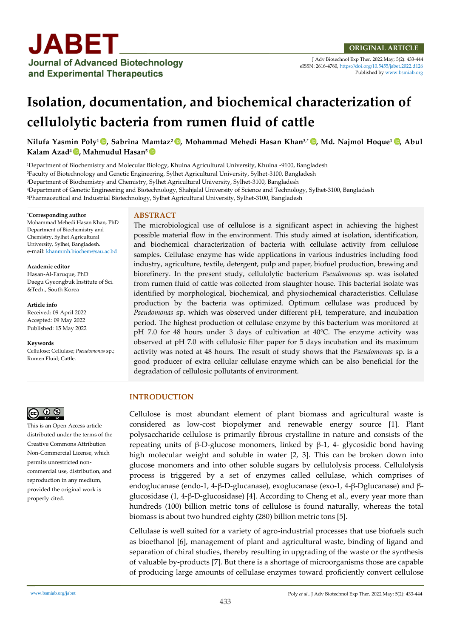J Adv Biotechnol Exp Ther. 2022 May; 5(2): 433-444 eISSN: 2616-4760[, https://doi.org/10.5455/jabet.2022.d126](https://doi.org/10.5455/jabet.2022.d126)  Published b[y www.bsmiab.org](http://www.bsmiab.org/)

# **Isolation, documentation, and biochemical characterization of cellulolytic bacteria from rumen fluid of cattle**

**Nilufa Yasmin Poly<sup>1</sup> , Sabrina Mamtaz<sup>2</sup> , Mohammad Mehedi Hasan Khan3,\* [,](https://orcid.org/0000-0002-4814-3065) Md. Najmol Hoque<sup>1</sup> , Abul Kalam Azad<sup>4</sup> , Mahmudul Hasan<sup>5</sup>**

Department of Biochemistry and Molecular Biology, Khulna Agricultural University, Khulna -9100, Bangladesh Faculty of Biotechnology and Genetic Engineering, Sylhet Agricultural University, Sylhet-3100, Bangladesh Department of Biochemistry and Chemistry, Sylhet Agricultural University, Sylhet-3100, Bangladesh Department of Genetic Engineering and Biotechnology, Shahjalal University of Science and Technology, Sylhet-3100, Bangladesh Pharmaceutical and Industrial Biotechnology, Sylhet Agricultural University, Sylhet-3100, Bangladesh

#### \***Corresponding author**

Mohammad Mehedi Hasan Khan, PhD Department of Biochemistry and Chemistry, Sylhet Agricultural University, Sylhet, Bangladesh. e-mail: [khanmmh.biochem@sau.ac.bd](mailto:khanmmh.biochem@sau.ac.bd)

**Academic editor**  Hasan-Al-Faruque, PhD Daegu Gyeongbuk Institute of Sci. &Tech., South Korea

#### **Article info**

Received: 09 April 2022 Accepted: 09 May 2022 Published: 15 May 2022

**Keywords**

Cellulose; Cellulase; *Pseudomonas* sp.; Rumen Fluid; Cattle.



This is an Open Access article distributed under the terms of the Creative Commons Attribution Non-Commercial License, which permits unrestricted noncommercial use, distribution, and reproduction in any medium, provided the original work is properly cited.

## **ABSTRACT**

The microbiological use of cellulose is a significant aspect in achieving the highest possible material flow in the environment. This study aimed at isolation, identification, and biochemical characterization of bacteria with cellulase activity from cellulose samples. Cellulase enzyme has wide applications in various industries including food industry, agriculture, textile, detergent, pulp and paper, biofuel production, brewing and biorefinery. In the present study, cellulolytic bacterium *Pseudomonas* sp. was isolated from rumen fluid of cattle was collected from slaughter house. This bacterial isolate was identified by morphological, biochemical, and physiochemical characteristics. Cellulase production by the bacteria was optimized. Optimum cellulase was produced by *Pseudomonas* sp. which was observed under different pH, temperature, and incubation period. The highest production of cellulase enzyme by this bacterium was monitored at pH 7.0 for 48 hours under 3 days of cultivation at 40°C. The enzyme activity was observed at pH 7.0 with cellulosic filter paper for 5 days incubation and its maximum activity was noted at 48 hours. The result of study shows that the *Pseudomonas* sp. is a good producer of extra cellular cellulase enzyme which can be also beneficial for the degradation of cellulosic pollutants of environment.

## **INTRODUCTION**

Cellulose is most abundant element of plant biomass and agricultural waste is considered as low-cost biopolymer and renewable energy source [1]. Plant polysaccharide cellulose is primarily fibrous crystalline in nature and consists of the repeating units of β-D-glucose monomers, linked by β-1, 4- glycosidic bond having high molecular weight and soluble in water [2, 3]. This can be broken down into glucose monomers and into other soluble sugars by cellulolysis process. Cellulolysis process is triggered by a set of enzymes called cellulase, which comprises of endoglucanase (endo-1, 4-β-D-glucanase), exoglucanase (exo-1, 4-β-Dglucanase) and βglucosidase (1, 4-β-D-glucosidase) [4]. According to Cheng et al., every year more than hundreds (100) billion metric tons of cellulose is found naturally, whereas the total biomass is about two hundred eighty (280) billion metric tons [5].

Cellulase is well suited for a variety of agro-industrial processes that use biofuels such as bioethanol [6], management of plant and agricultural waste, binding of ligand and separation of chiral studies, thereby resulting in upgrading of the waste or the synthesis of valuable by-products [7]. But there is a shortage of microorganisms those are capable of producing large amounts of cellulase enzymes toward proficiently convert cellulose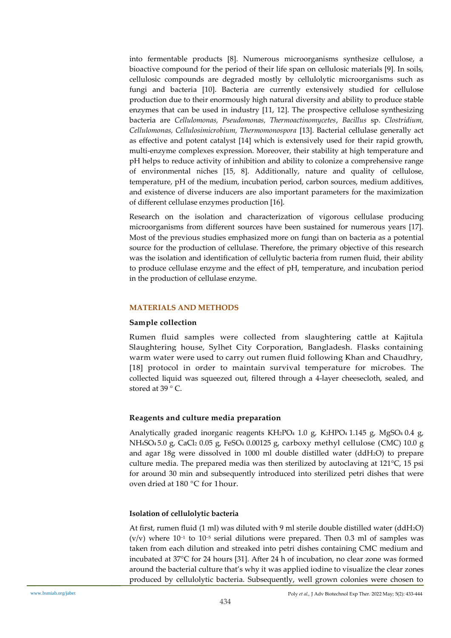into fermentable products [8]. Numerous microorganisms synthesize cellulose, a bioactive compound for the period of their life span on cellulosic materials [9]. In soils, cellulosic compounds are degraded mostly by cellulolytic microorganisms such as fungi and bacteria [10]. Bacteria are currently extensively studied for cellulose production due to their enormously high natural diversity and ability to produce stable enzymes that can be used in industry [11, 12]. The prospective cellulose synthesizing bacteria are *Cellulomonas, Pseudomonas, Thermoactinomycetes*, *Bacillus* sp. *Clostridium, Cellulomonas, Cellulosimicrobium, Thermomonospora* [13]. Bacterial cellulase generally act as effective and potent catalyst [14] which is extensively used for their rapid growth, multi-enzyme complexes expression. Moreover, their stability at high temperature and pH helps to reduce activity of inhibition and ability to colonize a comprehensive range of environmental niches [15, 8]. Additionally, nature and quality of cellulose, temperature, pH of the medium, incubation period, carbon sources, medium additives, and existence of diverse inducers are also important parameters for the maximization of different cellulase enzymes production [16].

Research on the isolation and characterization of vigorous cellulase producing microorganisms from different sources have been sustained for numerous years [17]. Most of the previous studies emphasized more on fungi than on bacteria as a potential source for the production of cellulase. Therefore, the primary objective of this research was the isolation and identification of cellulytic bacteria from rumen fluid, their ability to produce cellulase enzyme and the effect of pH, temperature, and incubation period in the production of cellulase enzyme.

## **MATERIALS AND METHODS**

## **Sample collection**

Rumen fluid samples were collected from slaughtering cattle at Kajitula Slaughtering house, Sylhet City Corporation, Bangladesh. Flasks containing warm water were used to carry out rumen fluid following Khan and Chaudhry, [18] protocol in order to maintain survival temperature for microbes. The collected liquid was squeezed out, filtered through a 4-layer cheesecloth, sealed, and stored at 39 °C.

## **Reagents and culture media preparation**

Analytically graded inorganic reagents KH2PO4 1.0 g, K2HPO4 1.145 g, MgSO4 0.4 g, NH4SO4 5.0 g, CaCl<sup>2</sup> 0.05 g, FeSO<sup>4</sup> 0.00125 g, carboxy methyl cellulose (CMC) 10.0 g and agar 18g were dissolved in 1000 ml double distilled water (ddH2O) to prepare culture media. The prepared media was then sterilized by autoclaving at 121°C, 15 psi for around 30 min and subsequently introduced into sterilized petri dishes that were oven dried at 180 °C for 1hour.

## **Isolation of cellulolytic bacteria**

At first, rumen fluid (1 ml) was diluted with 9 ml sterile double distilled water (ddH2O) (v/v) where 10−<sup>1</sup> to 10−<sup>5</sup> serial dilutions were prepared. Then 0.3 ml of samples was taken from each dilution and streaked into petri dishes containing CMC medium and incubated at 37°C for 24 hours [31]. After 24 h of incubation, no clear zone was formed around the bacterial culture that's why it was applied iodine to visualize the clear zones produced by cellulolytic bacteria. Subsequently, well grown colonies were chosen to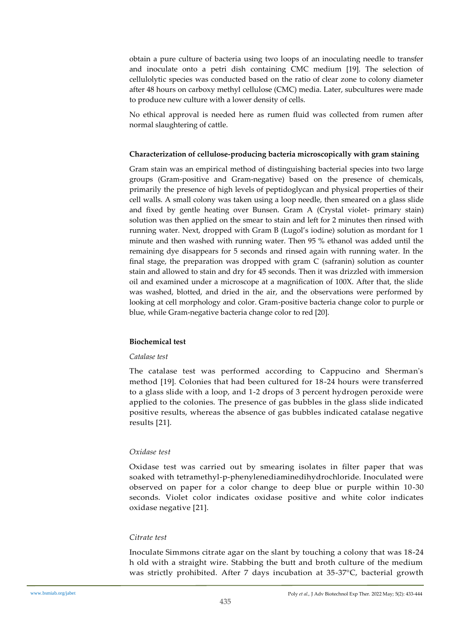obtain a pure culture of bacteria using two loops of an inoculating needle to transfer and inoculate onto a petri dish containing CMC medium [19]. The selection of cellulolytic species was conducted based on the ratio of clear zone to colony diameter after 48 hours on carboxy methyl cellulose (CMC) media. Later, subcultures were made to produce new culture with a lower density of cells.

No ethical approval is needed here as rumen fluid was collected from rumen after normal slaughtering of cattle.

## **Characterization of cellulose-producing bacteria microscopically with gram staining**

Gram stain was an empirical method of distinguishing bacterial species into two large groups (Gram-positive and Gram-negative) based on the presence of chemicals, primarily the presence of high levels of peptidoglycan and physical properties of their cell walls. A small colony was taken using a loop needle, then smeared on a glass slide and fixed by gentle heating over Bunsen. Gram A (Crystal violet- primary stain) solution was then applied on the smear to stain and left for 2 minutes then rinsed with running water. Next, dropped with Gram B (Lugol's iodine) solution as mordant for 1 minute and then washed with running water. Then 95 % ethanol was added until the remaining dye disappears for 5 seconds and rinsed again with running water. In the final stage, the preparation was dropped with gram C (safranin) solution as counter stain and allowed to stain and dry for 45 seconds. Then it was drizzled with immersion oil and examined under a microscope at a magnification of 100X. After that, the slide was washed, blotted, and dried in the air, and the observations were performed by looking at cell morphology and color. Gram-positive bacteria change color to purple or blue, while Gram-negative bacteria change color to red [20].

# **Biochemical test**

## *Catalase test*

The catalase test was performed according to Cappucino and Sherman's method [19]. Colonies that had been cultured for 18-24 hours were transferred to a glass slide with a loop, and 1-2 drops of 3 percent hydrogen peroxide were applied to the colonies. The presence of gas bubbles in the glass slide indicated positive results, whereas the absence of gas bubbles indicated catalase negative results [21].

## *Oxidase test*

Oxidase test was carried out by smearing isolates in filter paper that was soaked with tetramethyl-p-phenylenediaminedihydrochloride. Inoculated were observed on paper for a color change to deep blue or purple within 10-30 seconds. Violet color indicates oxidase positive and white color indicates oxidase negative [21].

## *Citrate test*

Inoculate Simmons citrate agar on the slant by touching a colony that was 18-24 h old with a straight wire. Stabbing the butt and broth culture of the medium was strictly prohibited. After 7 days incubation at 35-37°C, bacterial growth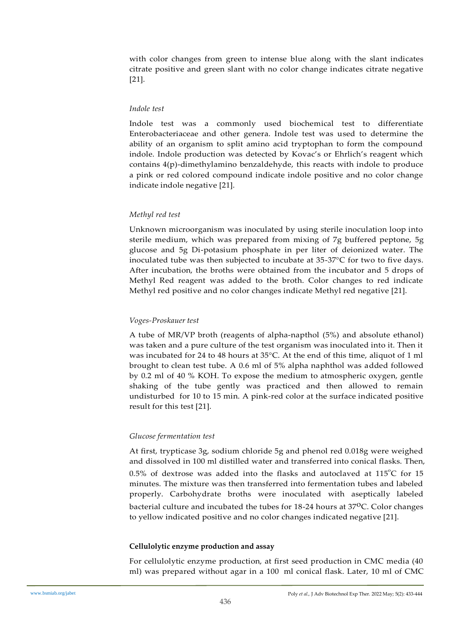with color changes from green to intense blue along with the slant indicates citrate positive and green slant with no color change indicates citrate negative [21].

## *Indole test*

Indole test was a commonly used biochemical test to differentiate Enterobacteriaceae and other genera. Indole test was used to determine the ability of an organism to split amino acid tryptophan to form the compound indole. Indole production was detected by Kovac's or Ehrlich's reagent which contains 4(p)-dimethylamino benzaldehyde, this reacts with indole to produce a pink or red colored compound indicate indole positive and no color change indicate indole negative [21].

# *Methyl red test*

Unknown microorganism was inoculated by using sterile inoculation loop into sterile medium, which was prepared from mixing of 7g buffered peptone, 5g glucose and 5g Di-potasium phosphate in per liter of deionized water. The inoculated tube was then subjected to incubate at 35-37°C for two to five days. After incubation, the broths were obtained from the incubator and 5 drops of Methyl Red reagent was added to the broth. Color changes to red indicate Methyl red positive and no color changes indicate Methyl red negative [21].

## *Voges-Proskauer test*

A tube of MR/VP broth (reagents of alpha-napthol (5%) and absolute ethanol) was taken and a pure culture of the test organism was inoculated into it. Then it was incubated for 24 to 48 hours at 35°C. At the end of this time, aliquot of 1 ml brought to clean test tube. A 0.6 ml of 5% alpha naphthol was added followed by 0.2 ml of 40 % KOH. To expose the medium to atmospheric oxygen, gentle shaking of the tube gently was practiced and then allowed to remain undisturbed for 10 to 15 min. A pink-red color at the surface indicated positive result for this test [21].

# *Glucose fermentation test*

At first, trypticase 3g, sodium chloride 5g and phenol red 0.018g were weighed and dissolved in 100 ml distilled water and transferred into conical flasks. Then,  $0.5\%$  of dextrose was added into the flasks and autoclaved at  $115^{\circ}$ C for 15 minutes. The mixture was then transferred into fermentation tubes and labeled properly. Carbohydrate broths were inoculated with aseptically labeled bacterial culture and incubated the tubes for 18-24 hours at 37°C. Color changes to yellow indicated positive and no color changes indicated negative [21].

## **Cellulolytic enzyme production and assay**

For cellulolytic enzyme production, at first seed production in CMC media (40 ml) was prepared without agar in a 100 ml conical flask. Later, 10 ml of CMC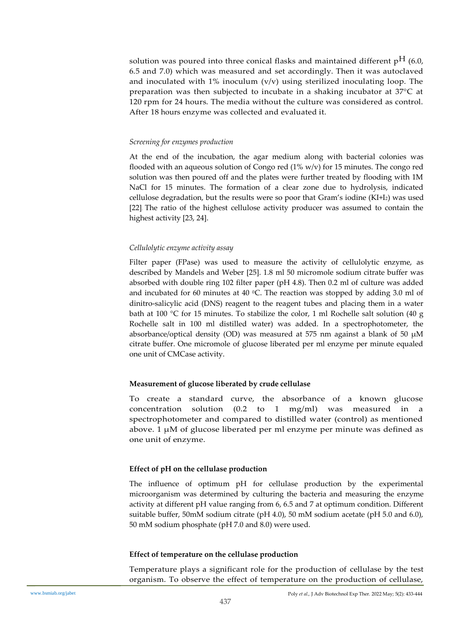solution was poured into three conical flasks and maintained different  $p^H$  (6.0, 6.5 and 7.0) which was measured and set accordingly. Then it was autoclaved and inoculated with 1% inoculum  $(v/v)$  using sterilized inoculating loop. The preparation was then subjected to incubate in a shaking incubator at 37°C at 120 rpm for 24 hours. The media without the culture was considered as control. After 18 hours enzyme was collected and evaluated it.

## *Screening for enzymes production*

At the end of the incubation, the agar medium along with bacterial colonies was flooded with an aqueous solution of Congo red  $(1\%$  w/v) for 15 minutes. The congo red solution was then poured off and the plates were further treated by flooding with 1M NaCl for 15 minutes. The formation of a clear zone due to hydrolysis, indicated cellulose degradation, but the results were so poor that Gram's iodine (KI+I2) was used [22]. The ratio of the highest cellulose activity producer was assumed to contain the highest activity [23, 24].

#### *Cellulolytic enzyme activity assay*

Filter paper (FPase) was used to measure the activity of cellulolytic enzyme, as described by Mandels and Weber [25]. 1.8 ml 50 micromole sodium citrate buffer was absorbed with double ring 102 filter paper (pH 4.8). Then 0.2 ml of culture was added and incubated for 60 minutes at 40  $^{\circ}$ C. The reaction was stopped by adding 3.0 ml of dinitro-salicylic acid (DNS) reagent to the reagent tubes and placing them in a water bath at 100 °C for 15 minutes. To stabilize the color, 1 ml Rochelle salt solution (40 g Rochelle salt in 100 ml distilled water) was added. In a spectrophotometer, the absorbance/optical density (OD) was measured at 575 nm against a blank of 50  $\mu$ M citrate buffer. One micromole of glucose liberated per ml enzyme per minute equaled one unit of CMCase activity.

#### **Measurement of glucose liberated by crude cellulase**

To create a standard curve, the absorbance of a known glucose concentration solution (0.2 to 1 mg/ml) was measured in a spectrophotometer and compared to distilled water (control) as mentioned above. 1  $\mu$ M of glucose liberated per ml enzyme per minute was defined as one unit of enzyme.

## **Effect of pH on the cellulase production**

The influence of optimum pH for cellulase production by the experimental microorganism was determined by culturing the bacteria and measuring the enzyme activity at different pH value ranging from 6, 6.5 and 7 at optimum condition. Different suitable buffer, 50mM sodium citrate (pH 4.0), 50 mM sodium acetate (pH 5.0 and 6.0), 50 mM sodium phosphate (pH 7.0 and 8.0) were used.

#### **Effect of temperature on the cellulase production**

Temperature plays a significant role for the production of cellulase by the test organism. To observe the effect of temperature on the production of cellulase,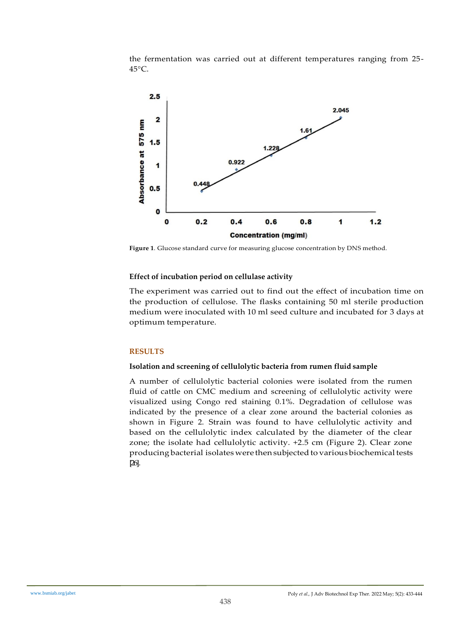the fermentation was carried out at different temperatures ranging from 25- 45°C.



**Figure 1**. Glucose standard curve for measuring glucose concentration by DNS method.

# **Effect of incubation period on cellulase activity**

The experiment was carried out to find out the effect of incubation time on the production of cellulose. The flasks containing 50 ml sterile production medium were inoculated with 10 ml seed culture and incubated for 3 days at optimum temperature.

# **RESULTS**

# **Isolation and screening of cellulolytic bacteria from rumen fluid sample**

A number of cellulolytic bacterial colonies were isolated from the rumen fluid of cattle on CMC medium and screening of cellulolytic activity were visualized using Congo red staining 0.1%. Degradation of cellulose was indicated by the presence of a clear zone around the bacterial colonies as shown in Figure 2. Strain was found to have cellulolytic activity and based on the cellulolytic index calculated by the diameter of the clear zone; the isolate had cellulolytic activity. +2.5 cm (Figure 2). Clear zone producing bacterial isolates were then subjected to various biochemical tests [26].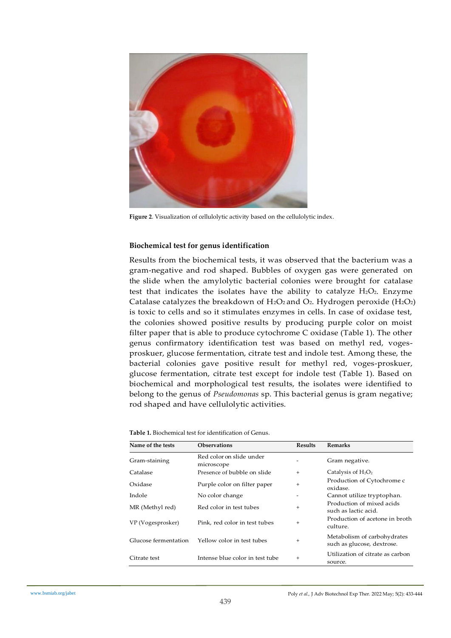

**Figure 2**. Visualization of cellulolytic activity based on the cellulolytic index.

## **Biochemical test for genus identification**

Results from the biochemical tests, it was observed that the bacterium was a gram-negative and rod shaped. Bubbles of oxygen gas were generated on the slide when the amylolytic bacterial colonies were brought for catalase test that indicates the isolates have the ability to catalyze  $H_2O_2$ . Enzyme Catalase catalyzes the breakdown of H<sub>2</sub>O<sub>2</sub> and O<sub>2</sub>. Hydrogen peroxide (H<sub>2</sub>O<sub>2</sub>) is toxic to cells and so it stimulates enzymes in cells. In case of oxidase test, the colonies showed positive results by producing purple color on moist filter paper that is able to produce cytochrome C oxidase (Table 1). The other genus confirmatory identification test was based on methyl red, vogesproskuer, glucose fermentation, citrate test and indole test. Among these, the bacterial colonies gave positive result for methyl red, voges-proskuer, glucose fermentation, citrate test except for indole test (Table 1). Based on biochemical and morphological test results, the isolates were identified to belong to the genus of *Pseudomonas* sp. This bacterial genus is gram negative; rod shaped and have cellulolytic activities.

| Name of the tests    | <b>Observations</b>                    | <b>Results</b> | Remarks                                                   |
|----------------------|----------------------------------------|----------------|-----------------------------------------------------------|
| Gram-staining        | Red color on slide under<br>microscope |                | Gram negative.                                            |
| Catalase             | Presence of bubble on slide            | $+$            | Catalysis of $H_2O_2$                                     |
| Oxidase              | Purple color on filter paper           | $+$            | Production of Cytochrome c<br>oxidase.                    |
| Indole               | No color change                        |                | Cannot utilize tryptophan.                                |
| MR (Methyl red)      | Red color in test tubes                | $+$            | Production of mixed acids<br>such as lactic acid.         |
| VP (Vogesprosker)    | Pink, red color in test tubes          | $+$            | Production of acetone in broth<br>culture.                |
| Glucose fermentation | Yellow color in test tubes             | $\ddot{}$      | Metabolism of carbohydrates<br>such as glucose, dextrose. |
| Citrate test         | Intense blue color in test tube        | $\ddot{}$      | Utilization of citrate as carbon<br>source.               |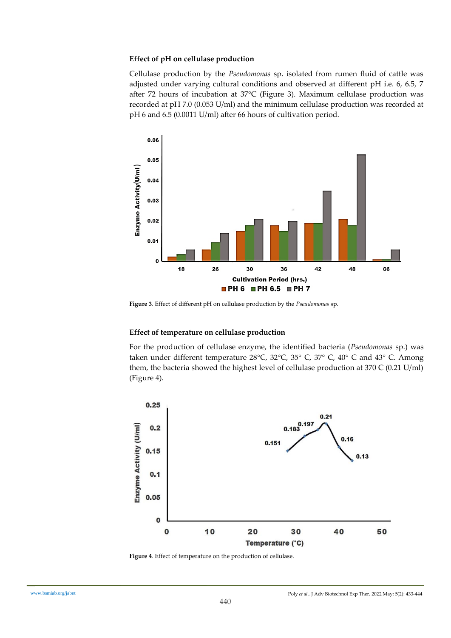## **Effect of pH on cellulase production**

Cellulase production by the *Pseudomonas* sp. isolated from rumen fluid of cattle was adjusted under varying cultural conditions and observed at different pH i.e. 6, 6.5, 7 after 72 hours of incubation at 37°C (Figure 3). Maximum cellulase production was recorded at pH 7.0 (0.053 U/ml) and the minimum cellulase production was recorded at pH 6 and 6.5 (0.0011 U/ml) after 66 hours of cultivation period.



**Figure 3**. Effect of different pH on cellulase production by the *Pseudomonas* sp.

## **Effect of temperature on cellulase production**

For the production of cellulase enzyme, the identified bacteria (*Pseudomonas* sp.) was taken under different temperature 28°C, 32°C, 35° C, 37° C, 40° C and 43° C. Among them, the bacteria showed the highest level of cellulase production at  $370 \text{ C}$  (0.21 U/ml) (Figure 4).



**Figure 4**. Effect of temperature on the production of cellulase.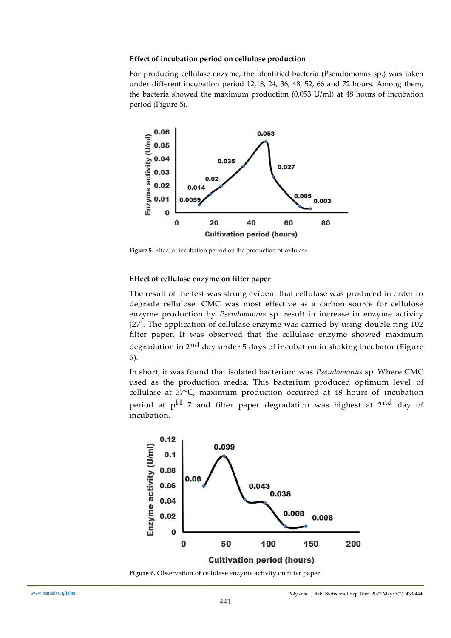## **Effect of incubation period on cellulose production**

For producing cellulase enzyme, the identified bacteria (Pseudomonas sp.) was taken under different incubation period 12,18, 24, 36, 48, 52, 66 and 72 hours. Among them, the bacteria showed the maximum production (0.053 U/ml) at 48 hours of incubation period (Figure 5).



**Figure 5**. Effect of incubation period on the production of cellulase.

## **Effect of cellulase enzyme on filter paper**

The result of the test was strong evident that cellulase was produced in order to degrade cellulose. CMC was most effective as a carbon source for cellulose enzyme production by *Pseudomonus* sp. result in increase in enzyme activity [27]. The application of cellulase enzyme was carried by using double ring 102 filter paper. It was observed that the cellulase enzyme showed maximum degradation in 2nd day under 5 days of incubation in shaking incubator (Figure 6).

In short, it was found that isolated bacterium was *Pseudomonus* sp*.* Where CMC used as the production media. This bacterium produced optimum level of cellulase at 37°C, maximum production occurred at 48 hours of incubation period at  $pH$  7 and filter paper degradation was highest at 2<sup>nd</sup> day of incubation.



**Figure 6.** Observation of cellulase enzyme activity on filter paper.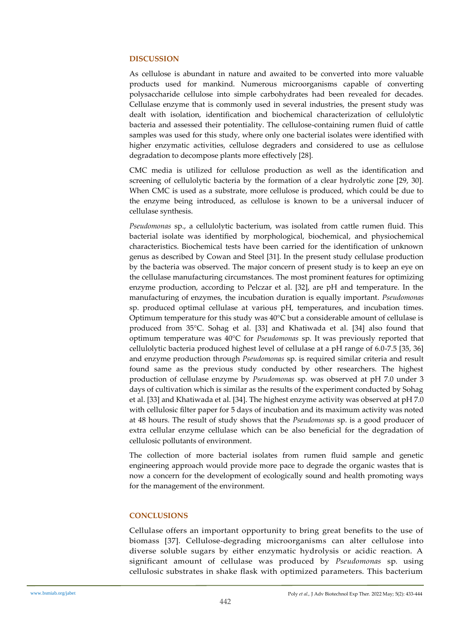## **DISCUSSION**

As cellulose is abundant in nature and awaited to be converted into more valuable products used for mankind. Numerous microorganisms capable of converting polysaccharide cellulose into simple carbohydrates had been revealed for decades. Cellulase enzyme that is commonly used in several industries, the present study was dealt with isolation, identification and biochemical characterization of cellulolytic bacteria and assessed their potentiality. The cellulose-containing rumen fluid of cattle samples was used for this study, where only one bacterial isolates were identified with higher enzymatic activities, cellulose degraders and considered to use as cellulose degradation to decompose plants more effectively [28].

CMC media is utilized for cellulose production as well as the identification and screening of cellulolytic bacteria by the formation of a clear hydrolytic zone [29, 30]. When CMC is used as a substrate, more cellulose is produced, which could be due to the enzyme being introduced, as cellulose is known to be a universal inducer of cellulase synthesis.

*Pseudomonas* sp., a cellulolytic bacterium, was isolated from cattle rumen fluid. This bacterial isolate was identified by morphological, biochemical, and physiochemical characteristics. Biochemical tests have been carried for the identification of unknown genus as described by Cowan and Steel [31]. In the present study cellulase production by the bacteria was observed. The major concern of present study is to keep an eye on the cellulase manufacturing circumstances. The most prominent features for optimizing enzyme production, according to Pelczar et al. [32], are pH and temperature. In the manufacturing of enzymes, the incubation duration is equally important. *Pseudomonas* sp. produced optimal cellulase at various pH, temperatures, and incubation times. Optimum temperature for this study was 40°C but a considerable amount of cellulase is produced from 35°C. Sohag et al. [33] and Khatiwada et al. [34] also found that optimum temperature was 40°C for *Pseudomonas* sp. It was previously reported that cellulolytic bacteria produced highest level of cellulase at a pH range of 6.0-7.5 [35, 36] and enzyme production through *Pseudomonas* sp. is required similar criteria and result found same as the previous study conducted by other researchers. The highest production of cellulase enzyme by *Pseudomonas* sp. was observed at pH 7.0 under 3 days of cultivation which is similar as the results of the experiment conducted by Sohag et al. [33] and Khatiwada et al. [34]. The highest enzyme activity was observed at pH 7.0 with cellulosic filter paper for 5 days of incubation and its maximum activity was noted at 48 hours. The result of study shows that the *Pseudomonas* sp. is a good producer of extra cellular enzyme cellulase which can be also beneficial for the degradation of cellulosic pollutants of environment.

The collection of more bacterial isolates from rumen fluid sample and genetic engineering approach would provide more pace to degrade the organic wastes that is now a concern for the development of ecologically sound and health promoting ways for the management of the environment.

## **CONCLUSIONS**

Cellulase offers an important opportunity to bring great benefits to the use of biomass [37]. Cellulose-degrading microorganisms can alter cellulose into diverse soluble sugars by either enzymatic hydrolysis or acidic reaction. A significant amount of cellulase was produced by *Pseudomonas* sp*.* using cellulosic substrates in shake flask with optimized parameters. This bacterium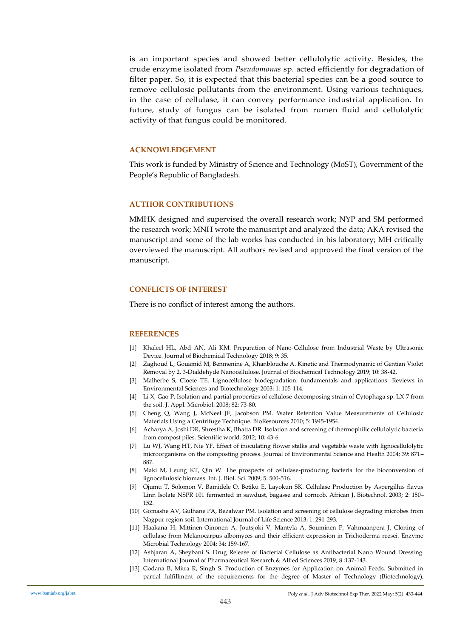is an important species and showed better cellulolytic activity. Besides, the crude enzyme isolated from *Pseudomonas* sp*.* acted efficiently for degradation of filter paper. So, it is expected that this bacterial species can be a good source to remove cellulosic pollutants from the environment. Using various techniques, in the case of cellulase, it can convey performance industrial application. In future, study of fungus can be isolated from rumen fluid and cellulolytic activity of that fungus could be monitored.

#### **ACKNOWLEDGEMENT**

This work is funded by Ministry of Science and Technology (MoST), Government of the People's Republic of Bangladesh.

#### **AUTHOR CONTRIBUTIONS**

MMHK designed and supervised the overall research work; NYP and SM performed the research work; MNH wrote the manuscript and analyzed the data; AKA revised the manuscript and some of the lab works has conducted in his laboratory; MH critically overviewed the manuscript. All authors revised and approved the final version of the manuscript.

#### **CONFLICTS OF INTEREST**

There is no conflict of interest among the authors.

#### **REFERENCES**

- [1] Khaleel HL, Abd AN, Ali KM. Preparation of Nano-Cellulose from Industrial Waste by Ultrasonic Device. Journal of Biochemical Technology 2018; 9: 35.
- [2] Zaghoud L, Gouamid M, Benmenine A, Khanblouche A. Kinetic and Thermodynamic of Gentian Violet Removal by 2, 3-Dialdehyde Nanocellulose. Journal of Biochemical Technology 2019; 10: 38-42.
- [3] Malherbe S, Cloete TE. Lignocellulose biodegradation: fundamentals and applications. Reviews in Environmental Sciences and Biotechnology 2003; 1: 105-114.
- [4] Li X, Gao P. Isolation and partial properties of cellulose-decomposing strain of Cytophaga sp. LX-7 from the soil. J. Appl. Microbiol. 2008; 82: 73-80.
- [5] Cheng Q, Wang J, McNeel JF, Jacobson PM. Water Retention Value Measurements of Cellulosic Materials Using a Centrifuge Technique. BioResources 2010; 5: 1945-1954.
- [6] Acharya A, Joshi DR, Shrestha K, Bhatta DR. Isolation and screening of thermophilic cellulolytic bacteria from compost piles. Scientific world. 2012; 10: 43-6.
- [7] Lu WJ, Wang HT, Nie YF. Effect of inoculating flower stalks and vegetable waste with lignocellulolytic microorganisms on the composting process. Journal of Environmental Science and Health 2004; 39: 871– 887.
- [8] Maki M, Leung KT, Qin W. The prospects of cellulase-producing bacteria for the bioconversion of lignocellulosic biomass. Int. J. Biol. Sci. 2009; 5: 500-516.
- [9] Ojumu T, Solomon V, Bamidele O, Betiku E, Layokun SK. Cellulase Production by Aspergillus flavus Linn Isolate NSPR 101 fermented in sawdust, bagasse and corncob. African J. Biotechnol. 2003; 2: 150– 152.
- [10] Gomashe AV, Gulhane PA, Bezalwar PM. Isolation and screening of cellulose degrading microbes from Nagpur region soil. International Journal of Life Science 2013; 1: 291-293.
- [11] Haakana H, Mittinen-Oinonen A, Joutsjoki V, Mantyla A, Souminen P, Vahmaanpera J. Cloning of cellulase from Melanocarpus albomyces and their efficient expression in Trichoderma reesei. Enzyme Microbial Technology 2004; 34: 159-167.
- [12] Ashjaran A, Sheybani S. Drug Release of Bacterial Cellulose as Antibacterial Nano Wound Dressing. International Journal of Pharmaceutical Research & Allied Sciences 2019; 8 :137-143.
- [13] Godana B, Mitra R, Singh S. Production of Enzymes for Application on Animal Feeds. Submitted in partial fulfillment of the requirements for the degree of Master of Technology (Biotechnology),